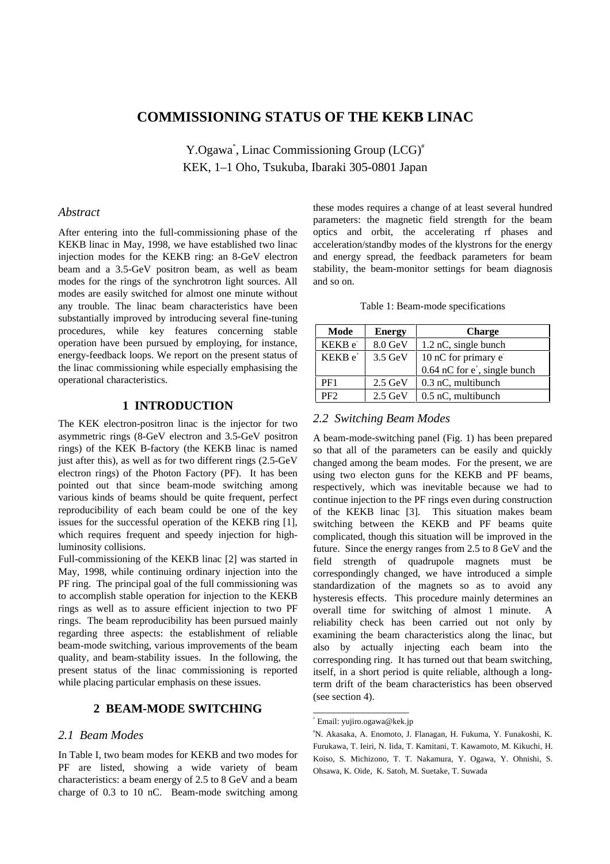# **COMMISSIONING STATUS OF THE KEKB LINAC**

Y.Ogawa<sup>\*</sup>, Linac Commissioning Group (LCG)<sup>#</sup> KEK, 1–1 Oho, Tsukuba, Ibaraki 305-0801 Japan

#### *Abstract*

After entering into the full-commissioning phase of the KEKB linac in May, 1998, we have established two linac injection modes for the KEKB ring: an 8-GeV electron beam and a 3.5-GeV positron beam, as well as beam modes for the rings of the synchrotron light sources. All modes are easily switched for almost one minute without any trouble. The linac beam characteristics have been substantially improved by introducing several fine-tuning procedures, while key features concerning stable operation have been pursued by employing, for instance, energy-feedback loops. We report on the present status of the linac commissioning while especially emphasising the operational characteristics.

#### **1 INTRODUCTION**

The KEK electron-positron linac is the injector for two asymmetric rings (8-GeV electron and 3.5-GeV positron rings) of the KEK B-factory (the KEKB linac is named just after this), as well as for two different rings  $(2.5\text{-}GeV)$ electron rings) of the Photon Factory (PF). It has been pointed out that since beam-mode switching among various kinds of beams should be quite frequent, perfect reproducibility of each beam could be one of the key issues for the successful operation of the KEKB ring [1], which requires frequent and speedy injection for highluminosity collisions.

Full-commissioning of the KEKB linac [2] was started in May, 1998, while continuing ordinary injection into the PF ring. The principal goal of the full commissioning was to accomplish stable operation for injection to the KEKB rings as well as to assure efficient injection to two PF rings. The beam reproducibility has been pursued mainly regarding three aspects: the establishment of reliable beam-mode switching, various improvements of the beam quality, and beam-stability issues. In the following, the present status of the linac commissioning is reported while placing particular emphasis on these issues.

#### **2 BEAM-MODE SWITCHING**

### *2.1 Beam Modes*

In Table I, two beam modes for KEKB and two modes for PF are listed, showing a wide variety of beam characteristics: a beam energy of 2.5 to 8 GeV and a beam charge of 0.3 to 10 nC. Beam-mode switching among these modes requires a change of at least several hundred parameters: the magnetic field strength for the beam optics and orbit, the accelerating rf phases and acceleration/standby modes of the klystrons for the energy and energy spread, the feedback parameters for beam stability, the beam-monitor settings for beam diagnosis and so on.

| Table 1: Beam-mode specifications |  |
|-----------------------------------|--|
|-----------------------------------|--|

| Mode                     | <b>Energy</b>     | <b>Charge</b>                      |
|--------------------------|-------------------|------------------------------------|
| KEKB e                   | $8.0 \text{ GeV}$ | 1.2 nC, single bunch               |
| KEKB e <sup>+</sup>      | $3.5 \text{ GeV}$ | 10 nC for primary e                |
|                          |                   | $0.64$ nC for $e^*$ , single bunch |
| PF <sub>1</sub>          | $2.5 \text{ GeV}$ | 0.3 nC, multibunch                 |
| $\overline{\mathrm{PF}}$ | $2.5 \text{ GeV}$ | 0.5 nC, multibunch                 |

#### *2.2 Switching Beam Modes*

A beam-mode-switching panel (Fig. 1) has been prepared so that all of the parameters can be easily and quickly changed among the beam modes. For the present, we are using two electon guns for the KEKB and PF beams, respectively, which was inevitable because we had to continue injection to the PF rings even during construction of the KEKB linac [3]. This situation makes beam switching between the KEKB and PF beams quite complicated, though this situation will be improved in the future. Since the energy ranges from 2.5 to 8 GeV and the field strength of quadrupole magnets must be correspondingly changed, we have introduced a simple standardization of the magnets so as to avoid any hysteresis effects. This procedure mainly determines an overall time for switching of almost 1 minute. A reliability check has been carried out not only by examining the beam characteristics along the linac, but also by actually injecting each beam into the corresponding ring. It has turned out that beam switching, itself, in a short period is quite reliable, although a longterm drift of the beam characteristics has been observed (see section 4).

\_\_\_\_\_\_\_\_\_\_\_\_\_\_\_\_\_\_\_ \* Email: yujiro.ogawa@kek.jp

<sup>#</sup> N. Akasaka, A. Enomoto, J. Flanagan, H. Fukuma, Y. Funakoshi, K. Furukawa, T. Ieiri, N. Iida, T. Kamitani, T. Kawamoto, M. Kikuchi, H. Koiso, S. Michizono, T. T. Nakamura, Y. Ogawa, Y. Ohnishi, S. Ohsawa, K. Oide, K. Satoh, M. Suetake, T. Suwada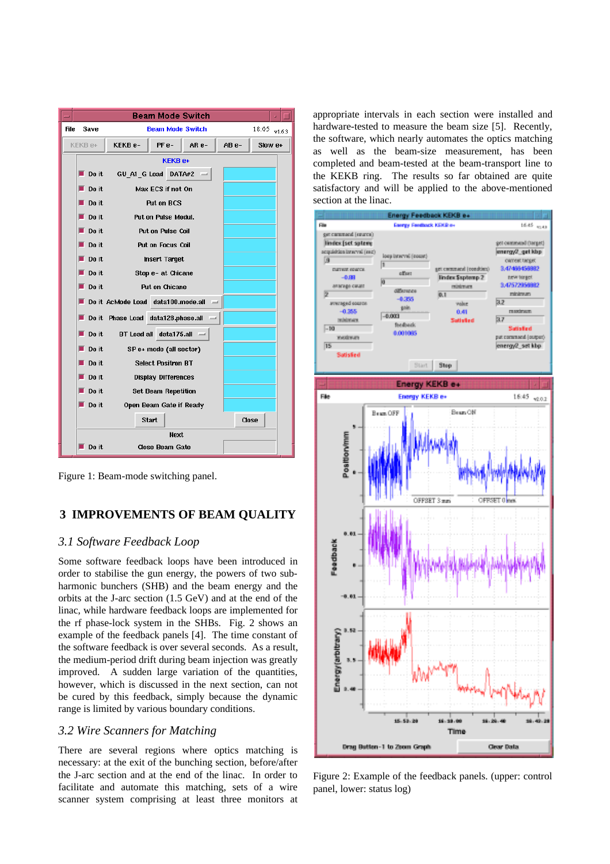

Figure 1: Beam-mode switching panel.

# **3 IMPROVEMENTS OF BEAM QUALITY**

## *3.1 Software Feedback Loop*

Some software feedback loops have been introduced in order to stabilise the gun energy, the powers of two subharmonic bunchers (SHB) and the beam energy and the orbits at the J-arc section (1.5 GeV) and at the end of the linac, while hardware feedback loops are implemented for the rf phase-lock system in the SHBs. Fig. 2 shows an example of the feedback panels [4]. The time constant of the software feedback is over several seconds. As a result, the medium-period drift during beam injection was greatly improved. A sudden large variation of the quantities, however, which is discussed in the next section, can not be cured by this feedback, simply because the dynamic range is limited by various boundary conditions.

## *3.2 Wire Scanners for Matching*

There are several regions where optics matching is necessary: at the exit of the bunching section, before/after the J-arc section and at the end of the linac. In order to facilitate and automate this matching, sets of a wire scanner system comprising at least three monitors at appropriate intervals in each section were installed and hardware-tested to measure the beam size [5]. Recently, the software, which nearly automates the optics matching as well as the beam-size measurement, has been completed and beam-tested at the beam-transport line to the KEKB ring. The results so far obtained are quite satisfactory and will be applied to the above-mentioned section at the linac.



Figure 2: Example of the feedback panels. (upper: control panel, lower: status log)